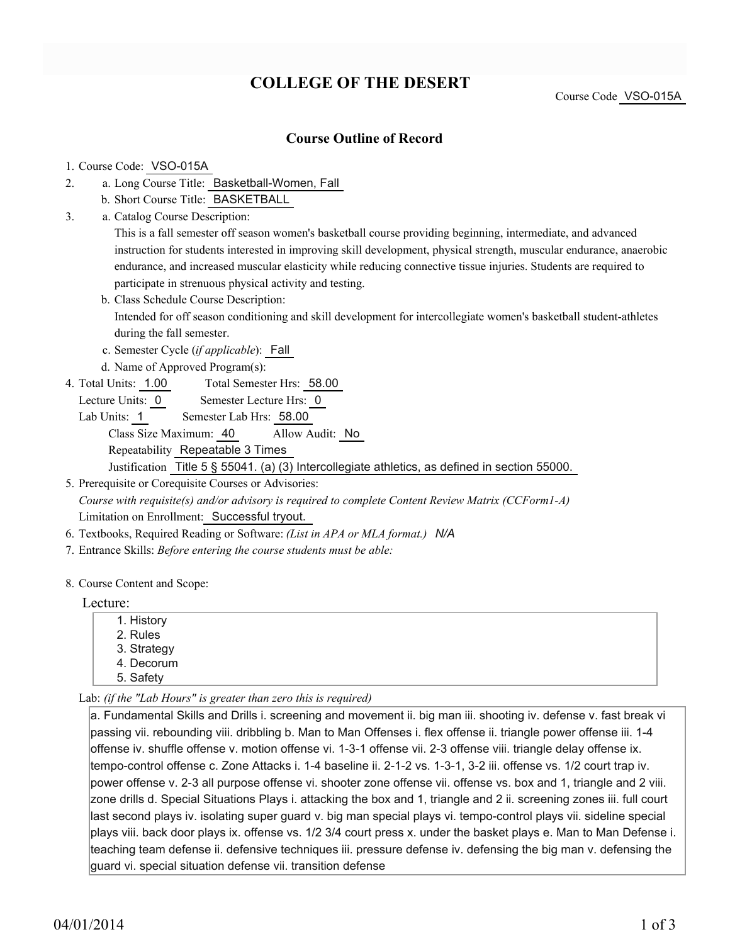# **COLLEGE OF THE DESERT**

Course Code VSO-015A

### **Course Outline of Record**

### 1. Course Code: VSO-015A

- a. Long Course Title: Basketball-Women, Fall 2.
	- b. Short Course Title: BASKETBALL
- Catalog Course Description: a. 3.

This is a fall semester off season women's basketball course providing beginning, intermediate, and advanced instruction for students interested in improving skill development, physical strength, muscular endurance, anaerobic endurance, and increased muscular elasticity while reducing connective tissue injuries. Students are required to participate in strenuous physical activity and testing.

- b. Class Schedule Course Description: Intended for off season conditioning and skill development for intercollegiate women's basketball student-athletes during the fall semester.
- c. Semester Cycle (*if applicable*): Fall
- d. Name of Approved Program(s):
- Total Semester Hrs: 58.00 4. Total Units: 1.00
	- Lecture Units: 0 Semester Lecture Hrs: 0
	- Lab Units: 1 Semester Lab Hrs: 58.00 Class Size Maximum: 40 Allow Audit: No Repeatability Repeatable 3 Times Justification Title 5 § 55041. (a) (3) Intercollegiate athletics, as defined in section 55000.

5. Prerequisite or Corequisite Courses or Advisories: *Course with requisite(s) and/or advisory is required to complete Content Review Matrix (CCForm1-A)* Limitation on Enrollment: Successful tryout.

- 6. Textbooks, Required Reading or Software: *(List in APA or MLA format.) N/A*
- 7. Entrance Skills: *Before entering the course students must be able:*

#### 8. Course Content and Scope:

#### Lecture:

- 1. History 2. Rules 3. Strategy
- 4. Decorum
- 5. Safety

Lab: *(if the "Lab Hours" is greater than zero this is required)*

a. Fundamental Skills and Drills i. screening and movement ii. big man iii. shooting iv. defense v. fast break vi passing vii. rebounding viii. dribbling b. Man to Man Offenses i. flex offense ii. triangle power offense iii. 1-4 offense iv. shuffle offense v. motion offense vi. 1-3-1 offense vii. 2-3 offense viii. triangle delay offense ix. tempo-control offense c. Zone Attacks i. 1-4 baseline ii. 2-1-2 vs. 1-3-1, 3-2 iii. offense vs. 1/2 court trap iv. power offense v. 2-3 all purpose offense vi. shooter zone offense vii. offense vs. box and 1, triangle and 2 viii. zone drills d. Special Situations Plays i. attacking the box and 1, triangle and 2 ii. screening zones iii. full court last second plays iv. isolating super guard v. big man special plays vi. tempo-control plays vii. sideline special plays viii. back door plays ix. offense vs. 1/2 3/4 court press x. under the basket plays e. Man to Man Defense i. teaching team defense ii. defensive techniques iii. pressure defense iv. defensing the big man v. defensing the guard vi. special situation defense vii. transition defense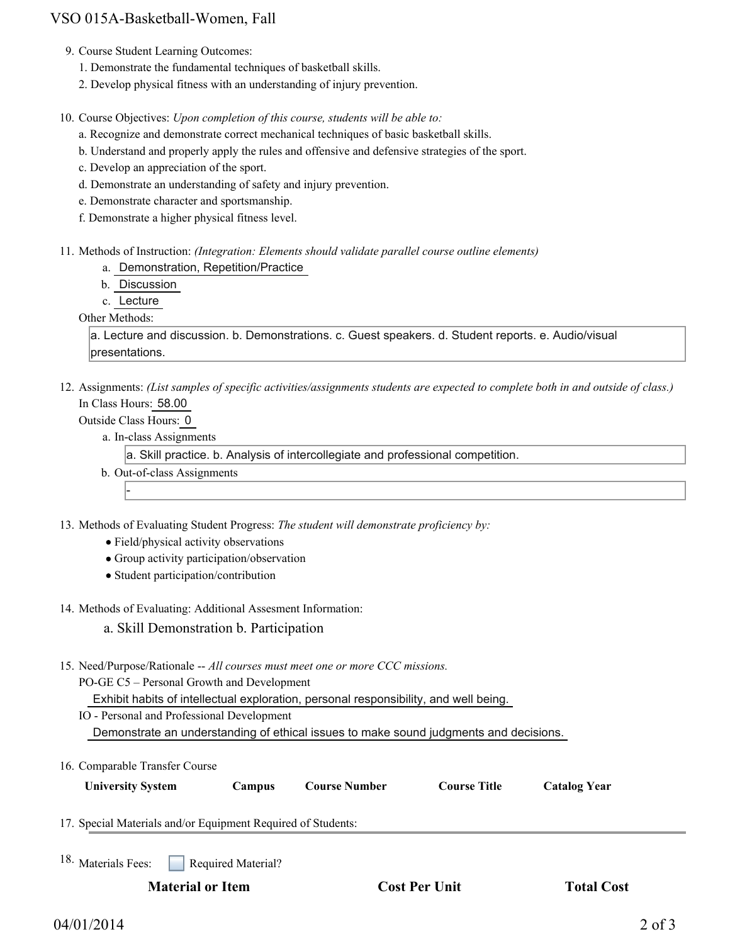# VSO 015A-Basketball-Women, Fall

- 9. Course Student Learning Outcomes:
	- 1. Demonstrate the fundamental techniques of basketball skills.
	- 2. Develop physical fitness with an understanding of injury prevention.

10. Course Objectives: Upon completion of this course, students will be able to:

- a. Recognize and demonstrate correct mechanical techniques of basic basketball skills.
- b. Understand and properly apply the rules and offensive and defensive strategies of the sport.
- c. Develop an appreciation of the sport.
- d. Demonstrate an understanding of safety and injury prevention.
- e. Demonstrate character and sportsmanship.
- f. Demonstrate a higher physical fitness level.
- 11. Methods of Instruction: *(Integration: Elements should validate parallel course outline elements)* 
	- a. Demonstration, Repetition/Practice
	- b. Discussion
	- c. Lecture

Other Methods:

a. Lecture and discussion. b. Demonstrations. c. Guest speakers. d. Student reports. e. Audio/visual presentations.

12. Assignments: (List samples of specific activities/assignments students are expected to complete both in and outside of class.) In Class Hours: 58.00

### Outside Class Hours: 0

-

a. In-class Assignments

a. Skill practice. b. Analysis of intercollegiate and professional competition.

b. Out-of-class Assignments

13. Methods of Evaluating Student Progress: The student will demonstrate proficiency by:

- Field/physical activity observations
- Group activity participation/observation
- Student participation/contribution
- 14. Methods of Evaluating: Additional Assesment Information:
	- a. Skill Demonstration b. Participation
- 15. Need/Purpose/Rationale -- All courses must meet one or more CCC missions.
	- PO-GE C5 Personal Growth and Development

Exhibit habits of intellectual exploration, personal responsibility, and well being.

IO - Personal and Professional Development Demonstrate an understanding of ethical issues to make sound judgments and decisions.

16. Comparable Transfer Course

| <b>University System</b> | Campus | <b>Course Number</b> | <b>Course Title</b> | <b>Catalog Year</b> |
|--------------------------|--------|----------------------|---------------------|---------------------|
|--------------------------|--------|----------------------|---------------------|---------------------|

17. Special Materials and/or Equipment Required of Students:

Required Material? 18. Materials Fees:

**Material or Item Cost Per Unit Total Cost Cost Per Unit Cost**